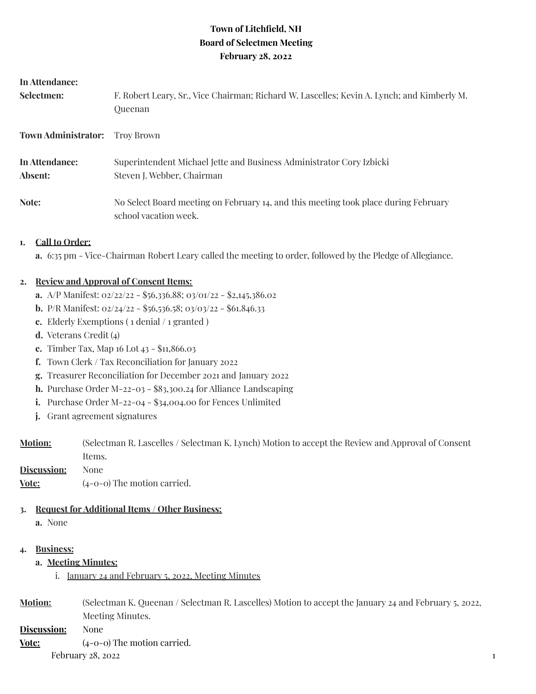# **Town of Litchfield, NH Board of Selectmen Meeting February 28, 2022**

| In Attendance:                        |                                                                                                              |
|---------------------------------------|--------------------------------------------------------------------------------------------------------------|
| Selectmen:                            | F. Robert Leary, Sr., Vice Chairman; Richard W. Lascelles; Kevin A. Lynch; and Kimberly M.<br>Queenan        |
| <b>Town Administrator:</b> Troy Brown |                                                                                                              |
| In Attendance:<br>Absent:             | Superintendent Michael Jette and Business Administrator Cory Izbicki<br>Steven J. Webber, Chairman           |
| Note:                                 | No Select Board meeting on February 14, and this meeting took place during February<br>school vacation week. |
|                                       |                                                                                                              |

### **1. Call to Order:**

**a.** 6:35 pm - Vice-Chairman Robert Leary called the meeting to order, followed by the Pledge of Allegiance.

### **2. Review and Approval of Consent Items:**

- **a.** A/P Manifest: 02/22/22 \$56,336.88; 03/01/22 \$2,145,386.02
- **b.** P/R Manifest: 02/24/22 \$56,536.58; 03/03/22 \$61.846.33
- **c.** Elderly Exemptions ( 1 denial / 1 granted )
- **d.** Veterans Credit (4)
- **e.** Timber Tax, Map 16 Lot 43 \$11,866.03
- **f.** Town Clerk / Tax Reconciliation for January 2022
- **g.** Treasurer Reconciliation for December 2021 and January 2022
- **h.** Purchase Order M-22-03 \$83,300.24 for Alliance Landscaping
- **i.** Purchase Order M-22-04 \$34,004.00 for Fences Unlimited
- **j.** Grant agreement signatures
- **Motion:** (Selectman R. Lascelles / Selectman K. Lynch) Motion to accept the Review and Approval of Consent Items.

**Discussion:** None **Vote:**  $(4-0-0)$  The motion carried.

## **3. Request for Additional Items / Other Business:**

**a.** None

### **4. Business:**

- **a. Meeting Minutes:**
	- i. January 24 and February 5, 2022, Meeting Minutes
- **Motion:** (Selectman K. Queenan / Selectman R. Lascelles) Motion to accept the January 24 and February 5, 2022, Meeting Minutes.

**Discussion:** None

**Vote:**  $(4-0-0)$  The motion carried. February 28, 2022  $\frac{1}{2}$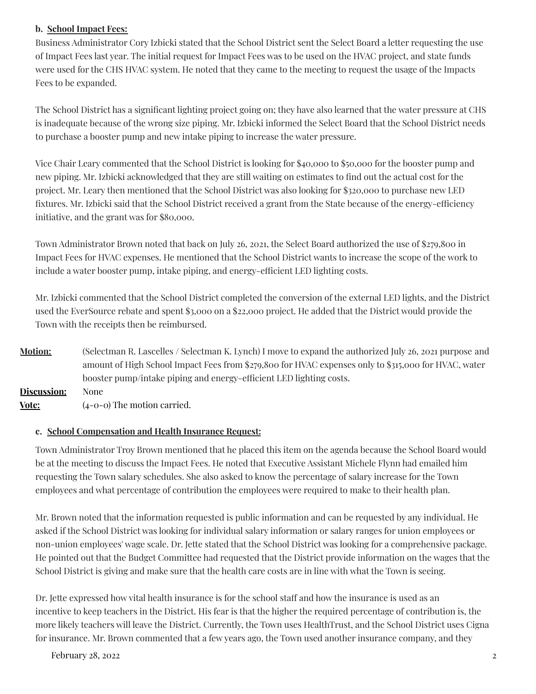## **b. School Impact Fees:**

Business Administrator Cory Izbicki stated that the School District sent the Select Board a letter requesting the use of Impact Fees last year. The initial request for Impact Fees was to be used on the HVAC project, and state funds were used for the CHS HVAC system. He noted that they came to the meeting to request the usage of the Impacts Fees to be expanded.

The School District has a significant lighting project going on; they have also learned that the water pressure at CHS is inadequate because of the wrong size piping. Mr. Izbicki informed the Select Board that the School District needs to purchase a booster pump and new intake piping to increase the water pressure.

Vice Chair Leary commented that the School District is looking for \$40,000 to \$50,000 for the booster pump and new piping. Mr. Izbicki acknowledged that they are still waiting on estimates to find out the actual cost for the project. Mr. Leary then mentioned that the School District was also looking for \$320,000 to purchase new LED fixtures. Mr. Izbicki said that the School District received a grant from the State because of the energy-efficiency initiative, and the grant was for \$80,000.

Town Administrator Brown noted that back on July 26, 2021, the Select Board authorized the use of \$279,800 in Impact Fees for HVAC expenses. He mentioned that the School District wants to increase the scope of the work to include a water booster pump, intake piping, and energy-efficient LED lighting costs.

Mr. Izbicki commented that the School District completed the conversion of the external LED lights, and the District used the EverSource rebate and spent \$3,000 on a \$22,000 project. He added that the District would provide the Town with the receipts then be reimbursed.

**Motion:** (Selectman R. Lascelles / Selectman K. Lynch) I move to expand the authorized July 26, 2021 purpose and amount of High School Impact Fees from \$279,800 for HVAC expenses only to \$315,000 for HVAC, water booster pump/intake piping and energy-efficient LED lighting costs. **Discussion:** None **Vote:** (4-0-0) The motion carried.

## **c. School Compensation and Health Insurance Request:**

Town Administrator Troy Brown mentioned that he placed this item on the agenda because the School Board would be at the meeting to discuss the Impact Fees. He noted that Executive Assistant Michele Flynn had emailed him requesting the Town salary schedules. She also asked to know the percentage of salary increase for the Town employees and what percentage of contribution the employees were required to make to their health plan.

Mr. Brown noted that the information requested is public information and can be requested by any individual. He asked if the School District was looking for individual salary information or salary ranges for union employees or non-union employees' wage scale. Dr. Jette stated that the School District was looking for a comprehensive package. He pointed out that the Budget Committee had requested that the District provide information on the wages that the School District is giving and make sure that the health care costs are in line with what the Town is seeing.

Dr. Jette expressed how vital health insurance is for the school staff and how the insurance is used as an incentive to keep teachers in the District. His fear is that the higher the required percentage of contribution is, the more likely teachers will leave the District. Currently, the Town uses HealthTrust, and the School District uses Cigna for insurance. Mr. Brown commented that a few years ago, the Town used another insurance company, and they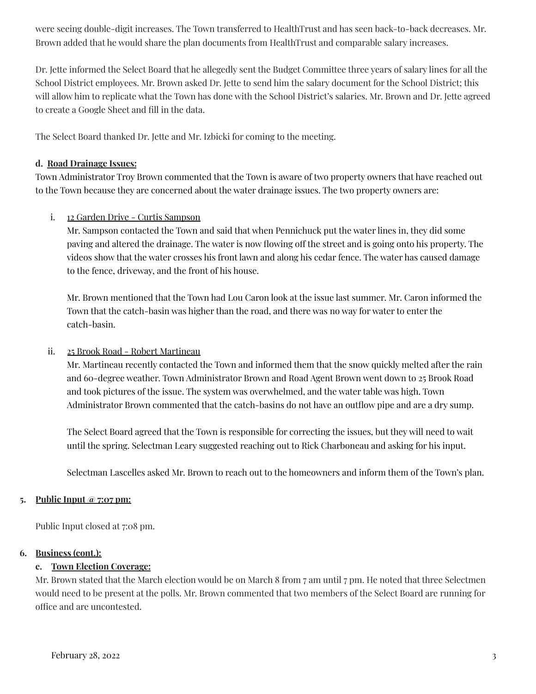were seeing double-digit increases. The Town transferred to HealthTrust and has seen back-to-back decreases. Mr. Brown added that he would share the plan documents from HealthTrust and comparable salary increases.

Dr. Jette informed the Select Board that he allegedly sent the Budget Committee three years of salary lines for all the School District employees. Mr. Brown asked Dr. Jette to send him the salary document for the School District; this will allow him to replicate what the Town has done with the School District's salaries. Mr. Brown and Dr. Jette agreed to create a Google Sheet and fill in the data.

The Select Board thanked Dr. Jette and Mr. Izbicki for coming to the meeting.

### **d. Road Drainage Issues:**

Town Administrator Troy Brown commented that the Town is aware of two property owners that have reached out to the Town because they are concerned about the water drainage issues. The two property owners are:

## i. 12 Garden Drive - Curtis Sampson

Mr. Sampson contacted the Town and said that when Pennichuck put the water lines in, they did some paving and altered the drainage. The water is now flowing off the street and is going onto his property. The videos show that the water crosses his front lawn and along his cedar fence. The water has caused damage to the fence, driveway, and the front of his house.

Mr. Brown mentioned that the Town had Lou Caron look at the issue last summer. Mr. Caron informed the Town that the catch-basin was higher than the road, and there was no way for water to enter the catch-basin.

### ii. 25 Brook Road - Robert Martineau

Mr. Martineau recently contacted the Town and informed them that the snow quickly melted after the rain and 60-degree weather. Town Administrator Brown and Road Agent Brown went down to 25 Brook Road and took pictures of the issue. The system was overwhelmed, and the water table was high. Town Administrator Brown commented that the catch-basins do not have an outflow pipe and are a dry sump.

The Select Board agreed that the Town is responsible for correcting the issues, but they will need to wait until the spring. Selectman Leary suggested reaching out to Rick Charboneau and asking for his input.

Selectman Lascelles asked Mr. Brown to reach out to the homeowners and inform them of the Town's plan.

### **5. Public Input @ 7:07 pm:**

Public Input closed at 7:08 pm.

### **6. Business (cont.):**

### **e. Town Election Coverage:**

Mr. Brown stated that the March election would be on March 8 from 7 am until 7 pm. He noted that three Selectmen would need to be present at the polls. Mr. Brown commented that two members of the Select Board are running for office and are uncontested.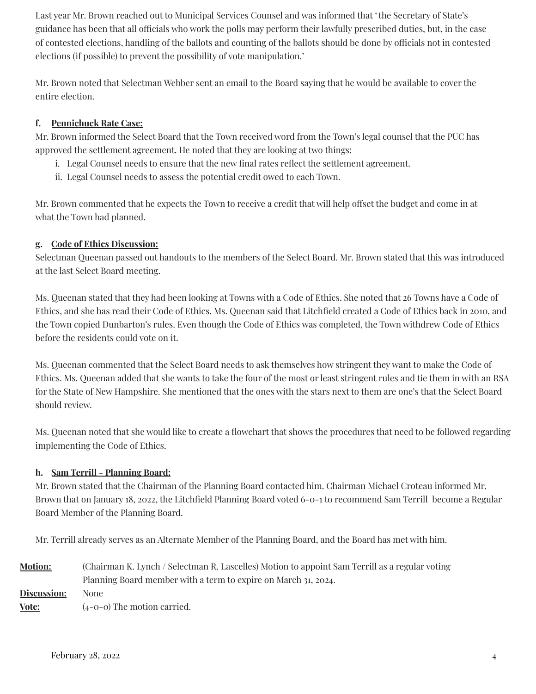Last year Mr. Brown reached out to Municipal Services Counsel and was informed that 'the Secretary of State's guidance has been that all officials who work the polls may perform their lawfully prescribed duties, but, in the case of contested elections, handling of the ballots and counting of the ballots should be done by officials not in contested elections (if possible) to prevent the possibility of vote manipulation.'

Mr. Brown noted that Selectman Webber sent an email to the Board saying that he would be available to cover the entire election.

## **f. Pennichuck Rate Case:**

Mr. Brown informed the Select Board that the Town received word from the Town's legal counsel that the PUC has approved the settlement agreement. He noted that they are looking at two things:

- i. Legal Counsel needs to ensure that the new final rates reflect the settlement agreement.
- ii. Legal Counsel needs to assess the potential credit owed to each Town.

Mr. Brown commented that he expects the Town to receive a credit that will help offset the budget and come in at what the Town had planned.

## **g. Code of Ethics Discussion:**

Selectman Queenan passed out handouts to the members of the Select Board. Mr. Brown stated that this was introduced at the last Select Board meeting.

Ms. Queenan stated that they had been looking at Towns with a Code of Ethics. She noted that 26 Towns have a Code of Ethics, and she has read their Code of Ethics. Ms. Queenan said that Litchfield created a Code of Ethics back in 2010, and the Town copied Dunbarton's rules. Even though the Code of Ethics was completed, the Town withdrew Code of Ethics before the residents could vote on it.

Ms. Queenan commented that the Select Board needs to ask themselves how stringent they want to make the Code of Ethics. Ms. Queenan added that she wants to take the four of the most or least stringent rules and tie them in with an RSA for the State of New Hampshire. She mentioned that the ones with the stars next to them are one's that the Select Board should review.

Ms. Queenan noted that she would like to create a flowchart that shows the procedures that need to be followed regarding implementing the Code of Ethics.

## **h. Sam Terrill - Planning Board:**

Mr. Brown stated that the Chairman of the Planning Board contacted him. Chairman Michael Croteau informed Mr. Brown that on January 18, 2022, the Litchfield Planning Board voted 6-0-1 to recommend Sam Terrill become a Regular Board Member of the Planning Board.

Mr. Terrill already serves as an Alternate Member of the Planning Board, and the Board has met with him.

| <b>Motion:</b> | (Chairman K. Lynch / Selectman R. Lascelles) Motion to appoint Sam Terrill as a regular voting |
|----------------|------------------------------------------------------------------------------------------------|
|                | Planning Board member with a term to expire on March 31, 2024.                                 |
| Discussion:    | None                                                                                           |
| Vote:          | $(4-0-0)$ The motion carried.                                                                  |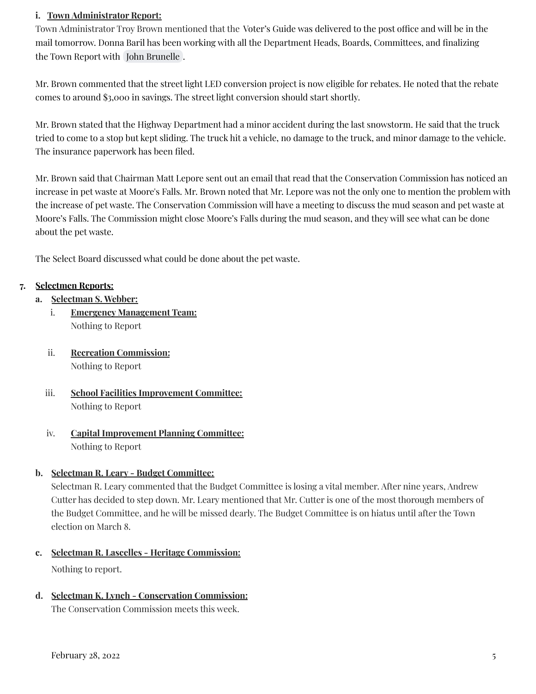### **i. Town Administrator Report:**

Town Administrator Troy Brown mentioned that the Voter's Guide was delivered to the post office and will be in the mail tomorrow. Donna Baril has been working with all the Department Heads, Boards, Committees, and finalizing the Town Report with John [Brunelle](mailto:jbrunelle@litchfieldnh.gov) .

Mr. Brown commented that the street light LED conversion project is now eligible for rebates. He noted that the rebate comes to around \$3,000 in savings. The street light conversion should start shortly.

Mr. Brown stated that the Highway Department had a minor accident during the last snowstorm. He said that the truck tried to come to a stop but kept sliding. The truck hit a vehicle, no damage to the truck, and minor damage to the vehicle. The insurance paperwork has been filed.

Mr. Brown said that Chairman Matt Lepore sent out an email that read that the Conservation Commission has noticed an increase in pet waste at Moore's Falls. Mr. Brown noted that Mr. Lepore was not the only one to mention the problem with the increase of pet waste. The Conservation Commission will have a meeting to discuss the mud season and pet waste at Moore's Falls. The Commission might close Moore's Falls during the mud season, and they will see what can be done about the pet waste.

The Select Board discussed what could be done about the pet waste.

### **7. Selectmen Reports:**

- **a. Selectman S. Webber:**
	- i. **Emergency Management Team:** Nothing to Report
	- ii. **Recreation Commission:** Nothing to Report
	- iii. **School Facilities Improvement Committee:** Nothing to Report
	- iv. **Capital Improvement Planning Committee:** Nothing to Report

#### **b. Selectman R. Leary - Budget Committee:**

Selectman R. Leary commented that the Budget Committee is losing a vital member. After nine years, Andrew Cutter has decided to step down. Mr. Leary mentioned that Mr. Cutter is one of the most thorough members of the Budget Committee, and he will be missed dearly. The Budget Committee is on hiatus until after the Town election on March 8.

- **c. Selectman R. Lascelles - Heritage Commission:** Nothing to report.
- **d. Selectman K. Lynch - Conservation Commission:**

The Conservation Commission meets this week.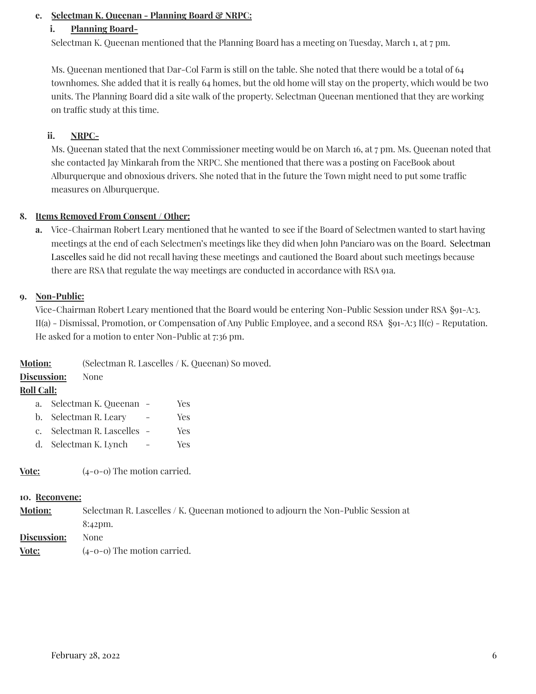### **e. Selectman K. Queenan - Planning Board & NRPC:**

### **i. Planning Board-**

Selectman K. Queenan mentioned that the Planning Board has a meeting on Tuesday, March 1, at 7 pm.

Ms. Queenan mentioned that Dar-Col Farm is still on the table. She noted that there would be a total of 64 townhomes. She added that it is really 64 homes, but the old home will stay on the property, which would be two units. The Planning Board did a site walk of the property. Selectman Queenan mentioned that they are working on traffic study at this time.

### **ii. NRPC-**

Ms. Queenan stated that the next Commissioner meeting would be on March 16, at 7 pm. Ms. Queenan noted that she contacted Jay Minkarah from the NRPC. She mentioned that there was a posting on FaceBook about Alburquerque and obnoxious drivers. She noted that in the future the Town might need to put some traffic measures on Alburquerque.

### **8. Items Removed From Consent / Other:**

**a.** Vice-Chairman Robert Leary mentioned that he wanted to see if the Board of Selectmen wanted to start having meetings at the end of each Selectmen's meetings like they did when John Panciaro was on the Board. Selectman Lascelles said he did not recall having these meetings and cautioned the Board about such meetings because there are RSA that regulate the way meetings are conducted in accordance with RSA 91a.

### **9. Non-Public:**

Vice-Chairman Robert Leary mentioned that the Board would be entering Non-Public Session under RSA §91-A:3. II(a) - Dismissal, Promotion, or Compensation of Any Public Employee, and a second RSA §91-A:3 II(c) - Reputation. He asked for a motion to enter Non-Public at 7:36 pm.

**Motion:** (Selectman R. Lascelles / K. Queenan) So moved.

### **Discussion:** None

### **Roll Call:**

- a. Selectman K. Queenan Yes
- b. Selectman R. Leary Yes
- c. Selectman R. Lascelles Yes
- d. Selectman K. Lynch Yes

**<u>Vote:</u>** (4-0-0) The motion carried.

#### **10. Reconvene:**

**Motion:** Selectman R. Lascelles / K. Queenan motioned to adjourn the Non-Public Session at 8:42pm. **Discussion:** None

**Vote:** (4-0-0) The motion carried.